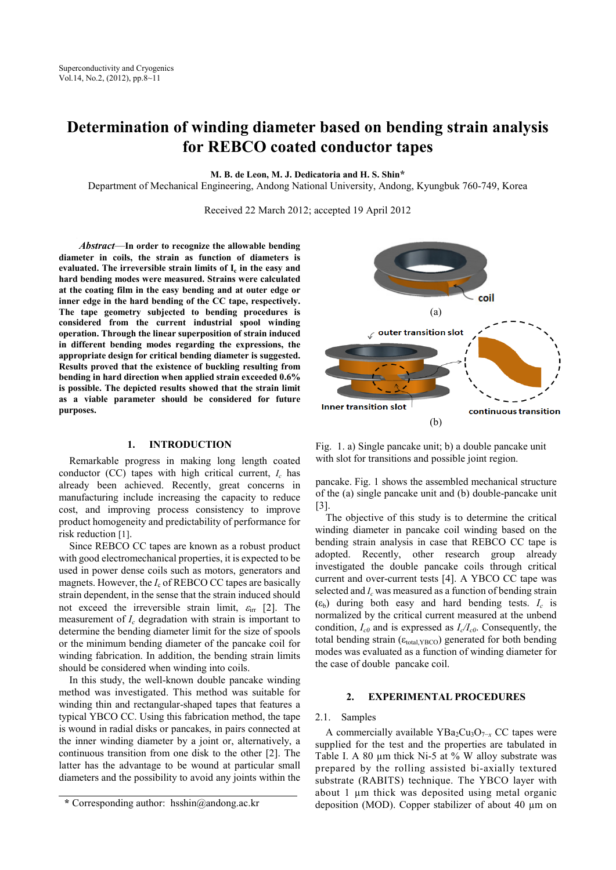# **Determination of winding diameter based on bending strain analysis for REBCO coated conductor tapes**

**M. B. de Leon, M. J. Dedicatoria and H. S. Shin\***

Department of Mechanical Engineering, Andong National University, Andong, Kyungbuk 760-749, Korea

Received 22 March 2012; accepted 19 April 2012

*Abstract*—**In order to recognize the allowable bending diameter in coils, the strain as function of diameters is evaluated. The irreversible strain limits of Ic in the easy and hard bending modes were measured. Strains were calculated at the coating film in the easy bending and at outer edge or inner edge in the hard bending of the CC tape, respectively. The tape geometry subjected to bending procedures is considered from the current industrial spool winding operation. Through the linear superposition of strain induced in different bending modes regarding the expressions, the appropriate design for critical bending diameter is suggested. Results proved that the existence of buckling resulting from bending in hard direction when applied strain exceeded 0.6% is possible. The depicted results showed that the strain limit as a viable parameter should be considered for future purposes.**

## **1. INTRODUCTION**

Remarkable progress in making long length coated conductor (CC) tapes with high critical current, *Ic* has already been achieved. Recently, great concerns in manufacturing include increasing the capacity to reduce cost, and improving process consistency to improve product homogeneity and predictability of performance for risk reduction [1].

Since REBCO CC tapes are known as a robust product with good electromechanical properties, it is expected to be used in power dense coils such as motors, generators and magnets. However, the  $I_c$  of REBCO CC tapes are basically strain dependent, in the sense that the strain induced should not exceed the irreversible strain limit,  $\varepsilon_{irr}$  [2]. The measurement of *Ic* degradation with strain is important to determine the bending diameter limit for the size of spools or the minimum bending diameter of the pancake coil for winding fabrication. In addition, the bending strain limits should be considered when winding into coils.

In this study, the well-known double pancake winding method was investigated. This method was suitable for winding thin and rectangular-shaped tapes that features a typical YBCO CC. Using this fabrication method, the tape is wound in radial disks or pancakes, in pairs connected at the inner winding diameter by a joint or, alternatively, a continuous transition from one disk to the other [2]. The latter has the advantage to be wound at particular small diameters and the possibility to avoid any joints within the



Fig. 1. a) Single pancake unit; b) a double pancake unit with slot for transitions and possible joint region.

pancake. Fig. 1 shows the assembled mechanical structure of the (a) single pancake unit and (b) double-pancake unit [3].

The objective of this study is to determine the critical winding diameter in pancake coil winding based on the bending strain analysis in case that REBCO CC tape is adopted. Recently, other research group already investigated the double pancake coils through critical current and over-current tests [4]. A YBCO CC tape was selected and *Ic* was measured as a function of bending strain  $(\varepsilon_b)$  during both easy and hard bending tests.  $I_c$  is normalized by the critical current measured at the unbend condition,  $I_{c0}$  and is expressed as  $I_c/I_{c0}$ . Consequently, the total bending strain ( $\varepsilon_{total,YBCO}$ ) generated for both bending modes was evaluated as a function of winding diameter for the case of double pancake coil.

# **2. EXPERIMENTAL PROCEDURES**

## 2.1. Samples

A commercially available YBa<sub>2</sub>Cu<sub>3</sub>O<sub>7−*x*</sub> CC tapes were supplied for the test and the properties are tabulated in Table I. A 80  $\mu$ m thick Ni-5 at % W alloy substrate was prepared by the rolling assisted bi-axially textured substrate (RABITS) technique. The YBCO layer with about 1 µm thick was deposited using metal organic deposition (MOD). Copper stabilizer of about 40 µm on

**<sup>\*</sup>** Corresponding author: hsshin@andong.ac.kr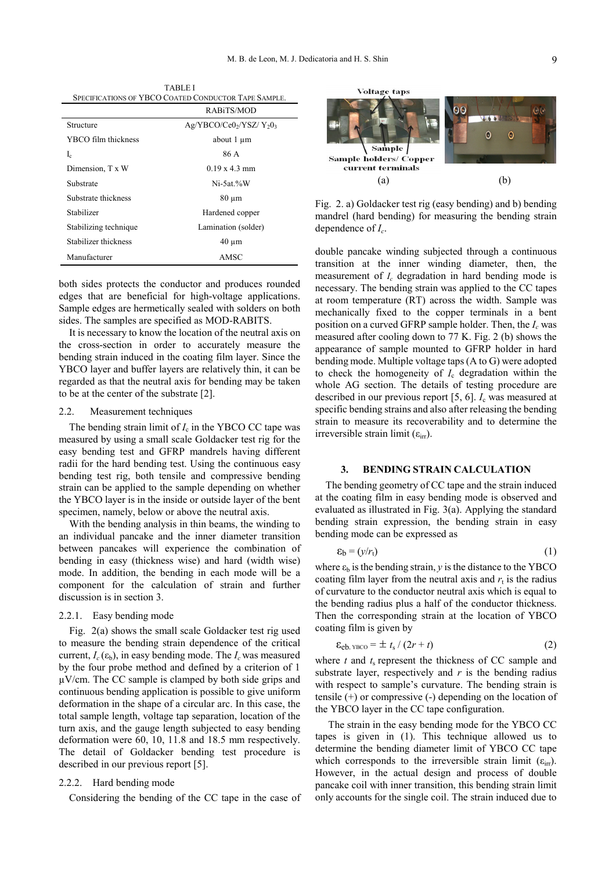TABLE I SPECIFICATIONS OF YBCO COATED CONDUCTOR TAPE SAMPLE. RABiTS/MOD

| Structure             | $Ag/YBCO/Ce02/YSZ/ Y203$ |
|-----------------------|--------------------------|
| YBCO film thickness   | about 1 um               |
| $I_c$                 | 86 A                     |
| Dimension, T x W      | $0.19 \times 4.3$ mm     |
| Substrate             | $Ni-5at%W$               |
| Substrate thickness   | 80 um                    |
| Stabilizer            | Hardened copper          |
| Stabilizing technique | Lamination (solder)      |
| Stabilizer thickness  | $40 \mu m$               |
| Manufacturer          | AMSC                     |

both sides protects the conductor and produces rounded edges that are beneficial for high-voltage applications. Sample edges are hermetically sealed with solders on both sides. The samples are specified as MOD-RABITS.

It is necessary to know the location of the neutral axis on the cross-section in order to accurately measure the bending strain induced in the coating film layer. Since the YBCO layer and buffer layers are relatively thin, it can be regarded as that the neutral axis for bending may be taken to be at the center of the substrate [2].

## 2.2. Measurement techniques

The bending strain limit of  $I_c$  in the YBCO CC tape was measured by using a small scale Goldacker test rig for the easy bending test and GFRP mandrels having different radii for the hard bending test. Using the continuous easy bending test rig, both tensile and compressive bending strain can be applied to the sample depending on whether the YBCO layer is in the inside or outside layer of the bent specimen, namely, below or above the neutral axis.

With the bending analysis in thin beams, the winding to an individual pancake and the inner diameter transition between pancakes will experience the combination of bending in easy (thickness wise) and hard (width wise) mode. In addition, the bending in each mode will be a component for the calculation of strain and further discussion is in section 3.

## 2.2.1. Easy bending mode

Fig. 2(a) shows the small scale Goldacker test rig used to measure the bending strain dependence of the critical current,  $I_c(\varepsilon_b)$ , in easy bending mode. The  $I_c$  was measured by the four probe method and defined by a criterion of 1 µV/cm. The CC sample is clamped by both side grips and continuous bending application is possible to give uniform deformation in the shape of a circular arc. In this case, the total sample length, voltage tap separation, location of the turn axis, and the gauge length subjected to easy bending deformation were 60, 10, 11.8 and 18.5 mm respectively. The detail of Goldacker bending test procedure is described in our previous report [5].

#### 2.2.2. Hard bending mode

Considering the bending of the CC tape in the case of



Fig. 2. a) Goldacker test rig (easy bending) and b) bending mandrel (hard bending) for measuring the bending strain dependence of *Ic*.

double pancake winding subjected through a continuous transition at the inner winding diameter, then, the measurement of *Ic* degradation in hard bending mode is necessary. The bending strain was applied to the CC tapes at room temperature (RT) across the width. Sample was mechanically fixed to the copper terminals in a bent position on a curved GFRP sample holder. Then, the *Ic* was measured after cooling down to 77 K. Fig. 2 (b) shows the appearance of sample mounted to GFRP holder in hard bending mode. Multiple voltage taps (A to G) were adopted to check the homogeneity of  $I_c$  degradation within the whole AG section. The details of testing procedure are described in our previous report [5, 6]. *I*<sup>c</sup> was measured at specific bending strains and also after releasing the bending strain to measure its recoverability and to determine the irreversible strain limit  $(\varepsilon_{irr})$ .

## **3. BENDING STRAIN CALCULATION**

 The bending geometry of CC tape and the strain induced at the coating film in easy bending mode is observed and evaluated as illustrated in Fig. 3(a). Applying the standard bending strain expression, the bending strain in easy bending mode can be expressed as

$$
\varepsilon_{b} = (y/r_{t}) \tag{1}
$$

where  $\varepsilon_b$  is the bending strain, *y* is the distance to the YBCO coating film layer from the neutral axis and  $r_t$  is the radius of curvature to the conductor neutral axis which is equal to the bending radius plus a half of the conductor thickness. Then the corresponding strain at the location of YBCO coating film is given by

$$
\varepsilon_{\text{eb, YBCO}} = \pm t_s / (2r + t) \tag{2}
$$

where  $t$  and  $t_s$  represent the thickness of CC sample and substrate layer, respectively and  $r$  is the bending radius with respect to sample's curvature. The bending strain is tensile (+) or compressive (-) depending on the location of the YBCO layer in the CC tape configuration.

 The strain in the easy bending mode for the YBCO CC tapes is given in (1). This technique allowed us to determine the bending diameter limit of YBCO CC tape which corresponds to the irreversible strain limit  $(\varepsilon_{irr})$ . However, in the actual design and process of double pancake coil with inner transition, this bending strain limit only accounts for the single coil. The strain induced due to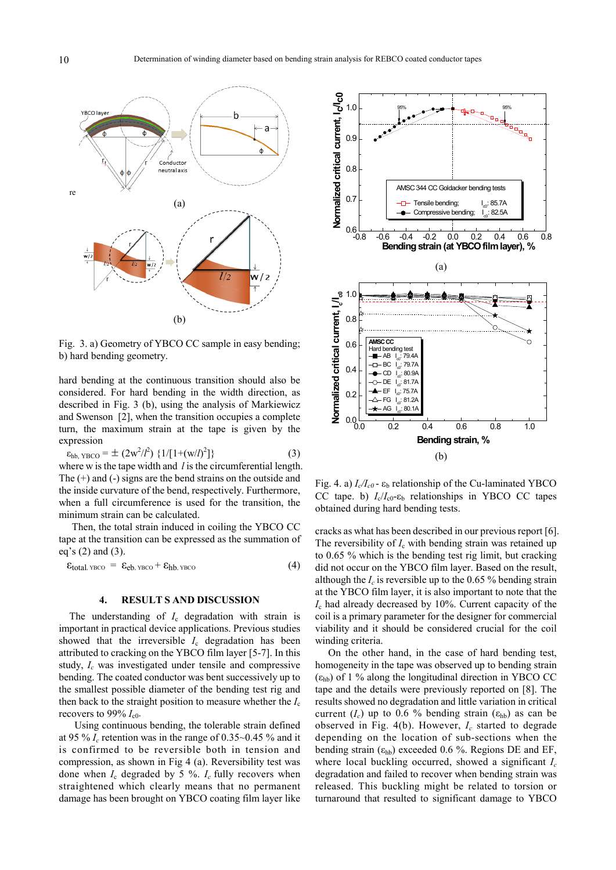

Fig. 3. a) Geometry of YBCO CC sample in easy bending; b) hard bending geometry.

hard bending at the continuous transition should also be considered. For hard bending in the width direction, as described in Fig. 3 (b), using the analysis of Markiewicz and Swenson [2], when the transition occupies a complete turn, the maximum strain at the tape is given by the expression

$$
\varepsilon_{\rm hb, YBCO} = \pm (2w^2/l^2) \{1/[1+(w/l)^2]\} \tag{3}
$$

where w is the tape width and *l* is the circumferential length. The (+) and (-) signs are the bend strains on the outside and the inside curvature of the bend, respectively. Furthermore, when a full circumference is used for the transition, the minimum strain can be calculated.

 Then, the total strain induced in coiling the YBCO CC tape at the transition can be expressed as the summation of eq's (2) and (3).

$$
\epsilon_{total,\,YBCO} = \epsilon_{eb,\,YBCO} + \epsilon_{hb,\,YBCO} \tag{4}
$$

## **4. RESULT S AND DISCUSSION**

The understanding of  $I_c$  degradation with strain is important in practical device applications. Previous studies showed that the irreversible  $I_c$  degradation has been attributed to cracking on the YBCO film layer [5-7]. In this study, *Ic* was investigated under tensile and compressive bending. The coated conductor was bent successively up to the smallest possible diameter of the bending test rig and then back to the straight position to measure whether the *I*<sup>c</sup> recovers to 99%  $I_{c0}$ .

 Using continuous bending, the tolerable strain defined at 95 %  $I_c$  retention was in the range of 0.35~0.45 % and it is confirmed to be reversible both in tension and compression, as shown in Fig 4 (a). Reversibility test was done when  $I_c$  degraded by 5 %.  $I_c$  fully recovers when straightened which clearly means that no permanent damage has been brought on YBCO coating film layer like



Fig. 4. a)  $I_c/I_{c0}$  -  $\varepsilon_b$  relationship of the Cu-laminated YBCO CC tape. b)  $I_c/I_{c0}$ - $\varepsilon_b$  relationships in YBCO CC tapes obtained during hard bending tests.

cracks as what has been described in our previous report [6]. The reversibility of  $I_c$  with bending strain was retained up to 0.65 % which is the bending test rig limit, but cracking did not occur on the YBCO film layer. Based on the result, although the  $I_c$  is reversible up to the 0.65 % bending strain at the YBCO film layer, it is also important to note that the *I*<sup>c</sup> had already decreased by 10%. Current capacity of the coil is a primary parameter for the designer for commercial viability and it should be considered crucial for the coil winding criteria.

 On the other hand, in the case of hard bending test, homogeneity in the tape was observed up to bending strain  $(\epsilon_{\text{hb}})$  of 1 % along the longitudinal direction in YBCO CC tape and the details were previously reported on [8]. The results showed no degradation and little variation in critical current  $(I_c)$  up to 0.6 % bending strain  $(\epsilon_{hb})$  as can be observed in Fig. 4(b). However, *Ic* started to degrade depending on the location of sub-sections when the bending strain  $(\epsilon_{hb})$  exceeded 0.6 %. Regions DE and EF, where local buckling occurred, showed a significant *Ic* degradation and failed to recover when bending strain was released. This buckling might be related to torsion or turnaround that resulted to significant damage to YBCO